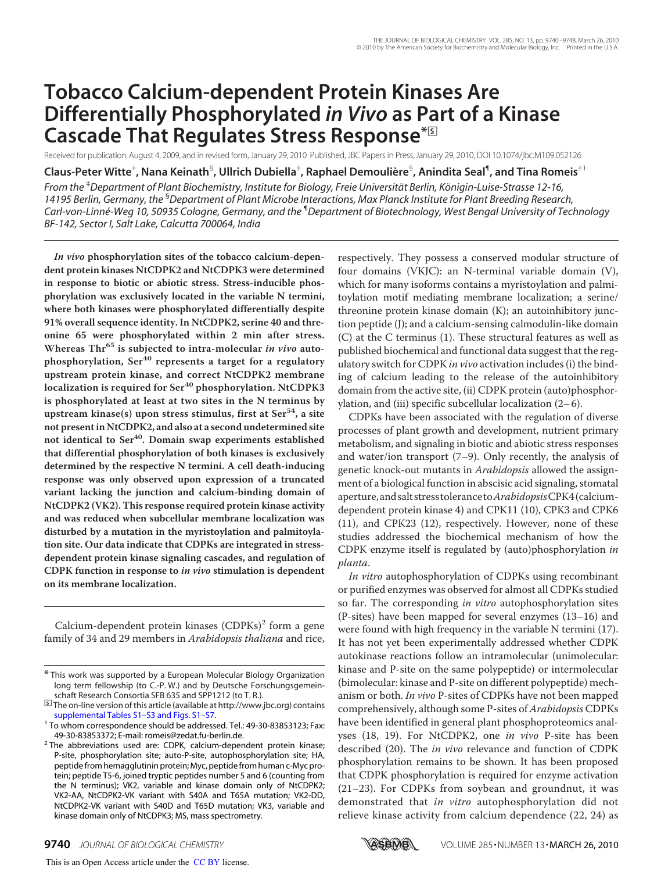# **Tobacco Calcium-dependent Protein Kinases Are Differentially Phosphorylated** *in Vivo* **as Part of a Kinase Cascade That Regulates Stress Response\***□**<sup>S</sup>**

Received for publication, August 4, 2009, and in revised form, January 29, 2010 Published, JBC Papers in Press, January 29, 2010, DOI 10.1074/jbc.M109.052126

 $\bf C$ laus-Peter Witte $^{\ddagger}$ , Nana Keinath $^{\rm S}$ , Ullrich Dubiella $^{\ddagger}$ , Raphael Demoulière $^{\rm S}$ , Anindita Seal $^{\rm \tiny \textsf{q}}$ , and Tina Romeis $^{\rm \ddagger1}$ *From the* ‡*Department of Plant Biochemistry, Institute for Biology, Freie Universita¨t Berlin, Ko¨nigin-Luise-Strasse 12-16, 14195 Berlin, Germany, the* §*Department of Plant Microbe Interactions, Max Planck Institute for Plant Breeding Research, Carl-von-Linne´-Weg 10, 50935 Cologne, Germany, and the* ¶*Department of Biotechnology, West Bengal University of Technology BF-142, Sector I, Salt Lake, Calcutta 700064, India*

**In vivo phosphorylation sites of the tobacco calcium-dependent protein kinases NtCDPK2 and NtCDPK3 were determined in response to biotic or abiotic stress. Stress-inducible phosphorylation was exclusively located in the variable N termini, where both kinases were phosphorylated differentially despite 91% overall sequence identity. In NtCDPK2, serine 40 and threonine 65 were phosphorylated within 2 min after stress. Whereas Thr<sup>65</sup> is subjected to intra-molecular in vivo autophosphorylation, Ser<sup>40</sup> represents a target for a regulatory upstream protein kinase, and correct NtCDPK2 membrane localization is required for Ser<sup>40</sup> phosphorylation. NtCDPK3 is phosphorylated at least at two sites in the N terminus by upstream kinase(s) upon stress stimulus, first at Ser54, a site not present in NtCDPK2, and also at a second undetermined site not identical to Ser40. Domain swap experiments established that differential phosphorylation of both kinases is exclusively determined by the respective N termini. A cell death-inducing response was only observed upon expression of a truncated variant lacking the junction and calcium-binding domain of NtCDPK2 (VK2). This response required protein kinase activity and was reduced when subcellular membrane localization was disturbed by a mutation in the myristoylation and palmitoylation site. Our data indicate that CDPKs are integrated in stressdependent protein kinase signaling cascades, and regulation of CDPK function in response to in vivo stimulation is dependent on its membrane localization.**

Calcium-dependent protein kinases (CDPKs)<sup>2</sup> form a gene family of 34 and 29 members in *Arabidopsis thaliana* and rice, respectively. They possess a conserved modular structure of four domains (VKJC): an N-terminal variable domain (V), which for many isoforms contains a myristoylation and palmitoylation motif mediating membrane localization; a serine/ threonine protein kinase domain (K); an autoinhibitory junction peptide (J); and a calcium-sensing calmodulin-like domain (C) at the C terminus (1). These structural features as well as published biochemical and functional data suggest that the regulatory switch for CDPK in vivo activation includes (i) the binding of calcium leading to the release of the autoinhibitory domain from the active site, (ii) CDPK protein (auto)phosphorylation, and (iii) specific subcellular localization  $(2-6)$ .

CDPKs have been associated with the regulation of diverse processes of plant growth and development, nutrient primary metabolism, and signaling in biotic and abiotic stress responses and water/ion transport (7–9). Only recently, the analysis of genetic knock-out mutants in Arabidopsis allowed the assignment of a biological function in abscisic acid signaling, stomatal aperture,andsaltstress tolerance toArabidopsisCPK4 (calciumdependent protein kinase 4) and CPK11 (10), CPK3 and CPK6 (11), and CPK23 (12), respectively. However, none of these studies addressed the biochemical mechanism of how the CDPK enzyme itself is regulated by (auto)phosphorylation in planta.

In vitro autophosphorylation of CDPKs using recombinant or purified enzymes was observed for almost all CDPKs studied so far. The corresponding in vitro autophosphorylation sites (P-sites) have been mapped for several enzymes (13–16) and were found with high frequency in the variable N termini (17). It has not yet been experimentally addressed whether CDPK autokinase reactions follow an intramolecular (unimolecular: kinase and P-site on the same polypeptide) or intermolecular (bimolecular: kinase and P-site on different polypeptide) mechanism or both. In vivo P-sites of CDPKs have not been mapped comprehensively, although some P-sites of Arabidopsis CDPKs have been identified in general plant phosphoproteomics analyses (18, 19). For NtCDPK2, one in vivo P-site has been described (20). The *in vivo* relevance and function of CDPK phosphorylation remains to be shown. It has been proposed that CDPK phosphorylation is required for enzyme activation (21–23). For CDPKs from soybean and groundnut, it was demonstrated that in vitro autophosphorylation did not relieve kinase activity from calcium dependence (22, 24) as



<sup>\*</sup> This work was supported by a European Molecular Biology Organization long term fellowship (to C.-P. W.) and by Deutsche Forschungsgemeinschaft Research Consortia SFB 635 and SPP1212 (to T. R.).

<sup>□</sup>**S** The on-line version of this article (available at http://www.jbc.org) contains supplemental Tables S1–S3 and Figs. S1–S7.

<sup>&</sup>lt;sup>1</sup> To whom correspondence should be addressed. Tel.: 49-30-83853123; Fax: 49-30-83853372; E-mail: romeis@zedat.fu-berlin.de.

<sup>&</sup>lt;sup>2</sup> The abbreviations used are: CDPK, calcium-dependent protein kinase; P-site, phosphorylation site; auto-P-site, autophosphorylation site; HA, peptide from hemagglutinin protein; Myc, peptide from human c-Myc protein; peptide T5-6, joined tryptic peptides number 5 and 6 (counting from the N terminus); VK2, variable and kinase domain only of NtCDPK2; VK2-AA, NtCDPK2-VK variant with S40A and T65A mutation; VK2-DD, NtCDPK2-VK variant with S40D and T65D mutation; VK3, variable and kinase domain only of NtCDPK3; MS, mass spectrometry.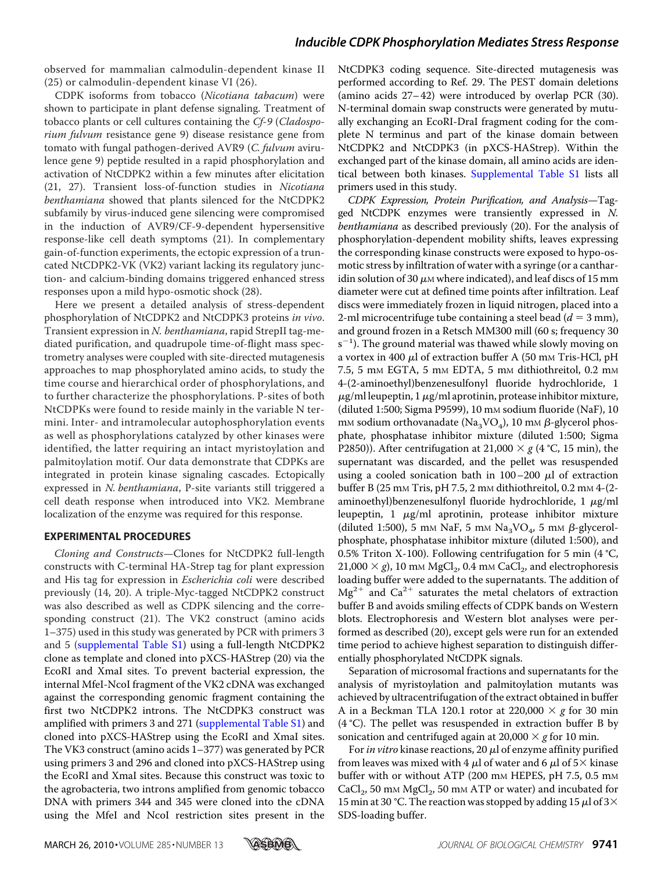observed for mammalian calmodulin-dependent kinase II (25) or calmodulin-dependent kinase VI (26).

CDPK isoforms from tobacco (Nicotiana tabacum) were shown to participate in plant defense signaling. Treatment of tobacco plants or cell cultures containing the Cf-9 (Cladosporium fulvum resistance gene 9) disease resistance gene from tomato with fungal pathogen-derived AVR9 (C. fulvum avirulence gene 9) peptide resulted in a rapid phosphorylation and activation of NtCDPK2 within a few minutes after elicitation (21, 27). Transient loss-of-function studies in Nicotiana benthamiana showed that plants silenced for the NtCDPK2 subfamily by virus-induced gene silencing were compromised in the induction of AVR9/CF-9-dependent hypersensitive response-like cell death symptoms (21). In complementary gain-of-function experiments, the ectopic expression of a truncated NtCDPK2-VK (VK2) variant lacking its regulatory junction- and calcium-binding domains triggered enhanced stress responses upon a mild hypo-osmotic shock (28).

Here we present a detailed analysis of stress-dependent phosphorylation of NtCDPK2 and NtCDPK3 proteins in vivo. Transient expression in N. benthamiana, rapid StrepII tag-mediated purification, and quadrupole time-of-flight mass spectrometry analyses were coupled with site-directed mutagenesis approaches to map phosphorylated amino acids, to study the time course and hierarchical order of phosphorylations, and to further characterize the phosphorylations. P-sites of both NtCDPKs were found to reside mainly in the variable N termini. Inter- and intramolecular autophosphorylation events as well as phosphorylations catalyzed by other kinases were identified, the latter requiring an intact myristoylation and palmitoylation motif. Our data demonstrate that CDPKs are integrated in protein kinase signaling cascades. Ectopically expressed in N. benthamiana, P-site variants still triggered a cell death response when introduced into VK2. Membrane localization of the enzyme was required for this response.

### **EXPERIMENTAL PROCEDURES**

Cloning and Constructs—Clones for NtCDPK2 full-length constructs with C-terminal HA-Strep tag for plant expression and His tag for expression in *Escherichia coli* were described previously (14, 20). A triple-Myc-tagged NtCDPK2 construct was also described as well as CDPK silencing and the corresponding construct (21). The VK2 construct (amino acids 1–375) used in this study was generated by PCR with primers 3 and 5 (supplemental Table S1) using a full-length NtCDPK2 clone as template and cloned into pXCS-HAStrep (20) via the EcoRI and XmaI sites. To prevent bacterial expression, the internal MfeI-NcoI fragment of the VK2 cDNA was exchanged against the corresponding genomic fragment containing the first two NtCDPK2 introns. The NtCDPK3 construct was amplified with primers 3 and 271 (supplemental Table S1) and cloned into pXCS-HAStrep using the EcoRI and XmaI sites. The VK3 construct (amino acids 1–377) was generated by PCR using primers 3 and 296 and cloned into pXCS-HAStrep using the EcoRI and XmaI sites. Because this construct was toxic to the agrobacteria, two introns amplified from genomic tobacco DNA with primers 344 and 345 were cloned into the cDNA using the MfeI and NcoI restriction sites present in the

NtCDPK3 coding sequence. Site-directed mutagenesis was performed according to Ref. 29. The PEST domain deletions (amino acids 27– 42) were introduced by overlap PCR (30). N-terminal domain swap constructs were generated by mutually exchanging an EcoRI-DraI fragment coding for the complete N terminus and part of the kinase domain between NtCDPK2 and NtCDPK3 (in pXCS-HAStrep). Within the exchanged part of the kinase domain, all amino acids are identical between both kinases. Supplemental Table S1 lists all primers used in this study.

CDPK Expression, Protein Purification, and Analysis—Tagged NtCDPK enzymes were transiently expressed in N. benthamiana as described previously (20). For the analysis of phosphorylation-dependent mobility shifts, leaves expressing the corresponding kinase constructs were exposed to hypo-osmotic stress by infiltration of water with a syringe (or a cantharidin solution of 30  $\mu$ M where indicated), and leaf discs of 15 mm diameter were cut at defined time points after infiltration. Leaf discs were immediately frozen in liquid nitrogen, placed into a 2-ml microcentrifuge tube containing a steel bead ( $d = 3$  mm), and ground frozen in a Retsch MM300 mill (60 s; frequency 30 s<sup>-1</sup>). The ground material was thawed while slowly moving on a vortex in 400  $\mu$ l of extraction buffer A (50 mm Tris-HCl, pH 7.5, 5 mM EGTA, 5 mM EDTA, 5 mM dithiothreitol, 0.2 mM 4-(2-aminoethyl)benzenesulfonyl fluoride hydrochloride, 1  $\mu$ g/ml leupeptin, 1  $\mu$ g/ml aprotinin, protease inhibitor mixture, (diluted 1:500; Sigma P9599), 10 mM sodium fluoride (NaF), 10 mm sodium orthovanadate ( $\rm{Na_{3}VO_{4}}$ ), 10 mm  $\beta$ -glycerol phosphate, phosphatase inhibitor mixture (diluted 1:500; Sigma P2850)). After centrifugation at 21,000  $\times g$  (4 °C, 15 min), the supernatant was discarded, and the pellet was resuspended using a cooled sonication bath in  $100-200$   $\mu$ l of extraction buffer B (25 mm Tris, pH 7.5, 2 mm dithiothreitol, 0.2 mm 4-(2aminoethyl)benzenesulfonyl fluoride hydrochloride, 1  $\mu$ g/ml leupeptin,  $1 \mu g/ml$  aprotinin, protease inhibitor mixture (diluted 1:500), 5 mm NaF, 5 mm Na<sub>3</sub>VO<sub>4</sub>, 5 mm  $\beta$ -glycerolphosphate, phosphatase inhibitor mixture (diluted 1:500), and 0.5% Triton X-100). Following centrifugation for 5 min (4 °C,  $21,000 \times g$ ), 10 mm MgCl<sub>2</sub>, 0.4 mm CaCl<sub>2</sub>, and electrophoresis loading buffer were added to the supernatants. The addition of  $Mg^{2+}$  and Ca<sup>2+</sup> saturates the metal chelators of extraction buffer B and avoids smiling effects of CDPK bands on Western blots. Electrophoresis and Western blot analyses were performed as described (20), except gels were run for an extended time period to achieve highest separation to distinguish differentially phosphorylated NtCDPK signals.

Separation of microsomal fractions and supernatants for the analysis of myristoylation and palmitoylation mutants was achieved by ultracentrifugation of the extract obtained in buffer A in a Beckman TLA 120.1 rotor at 220,000  $\times$  g for 30 min (4 °C). The pellet was resuspended in extraction buffer B by sonication and centrifuged again at  $20,000 \times g$  for 10 min.

For in vitro kinase reactions, 20  $\mu$ l of enzyme affinity purified from leaves was mixed with 4  $\mu$ l of water and 6  $\mu$ l of 5 $\times$  kinase buffer with or without ATP (200 mm HEPES, pH 7.5, 0.5 mm  $\text{CaCl}_2$ , 50 mm  $\text{MgCl}_2$ , 50 mm ATP or water) and incubated for 15 min at 30 °C. The reaction was stopped by adding 15  $\mu$ l of 3 $\times$ SDS-loading buffer.

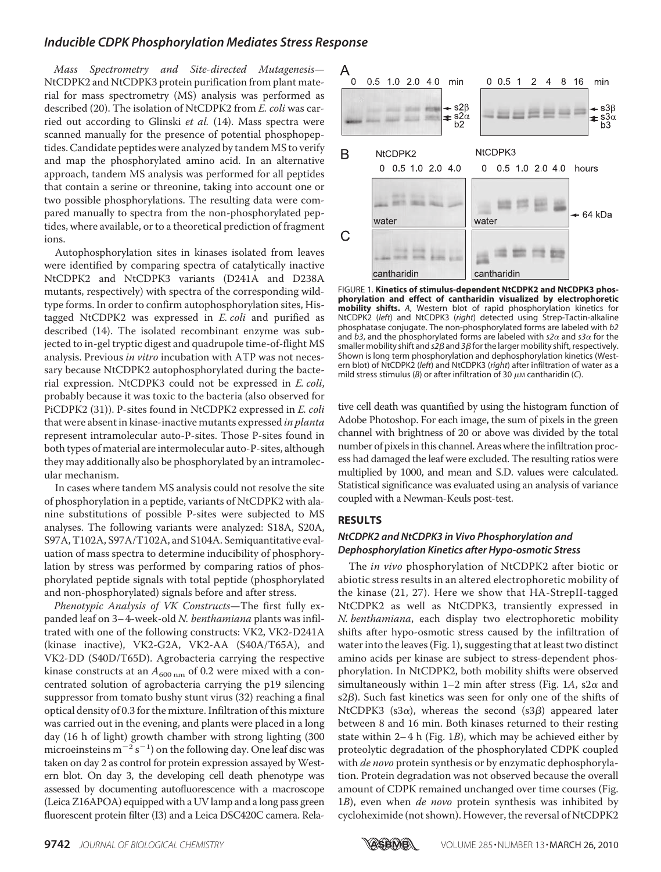Mass Spectrometry and Site-directed Mutagenesis— NtCDPK2 and NtCDPK3 protein purification from plant material for mass spectrometry (MS) analysis was performed as described (20). The isolation of NtCDPK2 from E. coli was carried out according to Glinski et al. (14). Mass spectra were scanned manually for the presence of potential phosphopeptides. Candidate peptides were analyzed by tandem MS to verify and map the phosphorylated amino acid. In an alternative approach, tandem MS analysis was performed for all peptides that contain a serine or threonine, taking into account one or two possible phosphorylations. The resulting data were compared manually to spectra from the non-phosphorylated peptides, where available, or to a theoretical prediction of fragment ions.

Autophosphorylation sites in kinases isolated from leaves were identified by comparing spectra of catalytically inactive NtCDPK2 and NtCDPK3 variants (D241A and D238A mutants, respectively) with spectra of the corresponding wildtype forms. In order to confirm autophosphorylation sites, Histagged NtCDPK2 was expressed in E. coli and purified as described (14). The isolated recombinant enzyme was subjected to in-gel tryptic digest and quadrupole time-of-flight MS analysis. Previous in vitro incubation with ATP was not necessary because NtCDPK2 autophosphorylated during the bacterial expression. NtCDPK3 could not be expressed in E. coli, probably because it was toxic to the bacteria (also observed for PiCDPK2 (31)). P-sites found in NtCDPK2 expressed in E. coli that were absent in kinase-inactive mutants expressed in planta represent intramolecular auto-P-sites. Those P-sites found in both types of material are intermolecular auto-P-sites, although they may additionally also be phosphorylated by an intramolecular mechanism.

In cases where tandem MS analysis could not resolve the site of phosphorylation in a peptide, variants of NtCDPK2 with alanine substitutions of possible P-sites were subjected to MS analyses. The following variants were analyzed: S18A, S20A, S97A, T102A, S97A/T102A, and S104A. Semiquantitative evaluation of mass spectra to determine inducibility of phosphorylation by stress was performed by comparing ratios of phosphorylated peptide signals with total peptide (phosphorylated and non-phosphorylated) signals before and after stress.

Phenotypic Analysis of VK Constructs-The first fully expanded leaf on 3–4-week-old N. benthamiana plants was infiltrated with one of the following constructs: VK2, VK2-D241A (kinase inactive), VK2-G2A, VK2-AA (S40A/T65A), and VK2-DD (S40D/T65D). Agrobacteria carrying the respective kinase constructs at an  $A_{600 \text{ nm}}$  of 0.2 were mixed with a concentrated solution of agrobacteria carrying the p19 silencing suppressor from tomato bushy stunt virus (32) reaching a final optical density of 0.3 for the mixture. Infiltration of this mixture was carried out in the evening, and plants were placed in a long day (16 h of light) growth chamber with strong lighting (300 microeinsteins  $m^{-2} s^{-1}$ ) on the following day. One leaf disc was taken on day 2 as control for protein expression assayed by Western blot. On day 3, the developing cell death phenotype was assessed by documenting autofluorescence with a macroscope (Leica Z16APOA) equipped with a UV lamp and a long pass green fluorescent protein filter (I3) and a Leica DSC420C camera. Rela-



FIGURE 1. **Kinetics of stimulus-dependent NtCDPK2 and NtCDPK3 phosphorylation and effect of cantharidin visualized by electrophoretic mobility shifts.** *A*, Western blot of rapid phosphorylation kinetics for NtCDPK2 (*left*) and NtCDPK3 (*right*) detected using Strep-Tactin-alkaline phosphatase conjugate. The non-phosphorylated forms are labeled with *b2* and  $b3$ , and the phosphorylated forms are labeled with  $s2\alpha$  and  $s3\alpha$  for the smaller mobility shift and s2 $\beta$  and 3 $\beta$  for the larger mobility shift, respectively. Shown is long term phosphorylation and dephosphorylation kinetics (Western blot) of NtCDPK2 (*left*) and NtCDPK3 (*right*) after infiltration of water as a mild stress stimulus ( $B$ ) or after infiltration of 30  $\mu$ M cantharidin (C).

tive cell death was quantified by using the histogram function of Adobe Photoshop. For each image, the sum of pixels in the green channel with brightness of 20 or above was divided by the total number of pixels in this channel. Areas where the infiltration process had damaged the leaf were excluded. The resulting ratios were multiplied by 1000, and mean and S.D. values were calculated. Statistical significance was evaluated using an analysis of variance coupled with a Newman-Keuls post-test.

#### **RESULTS**

### *NtCDPK2 and NtCDPK3 in Vivo Phosphorylation and Dephosphorylation Kinetics after Hypo-osmotic Stress*

The in vivo phosphorylation of NtCDPK2 after biotic or abiotic stress results in an altered electrophoretic mobility of the kinase (21, 27). Here we show that HA-StrepII-tagged NtCDPK2 as well as NtCDPK3, transiently expressed in N. benthamiana, each display two electrophoretic mobility shifts after hypo-osmotic stress caused by the infiltration of water into the leaves (Fig. 1), suggesting that at least two distinct amino acids per kinase are subject to stress-dependent phosphorylation. In NtCDPK2, both mobility shifts were observed simultaneously within 1–2 min after stress (Fig. 1A, s2 $\alpha$  and  $s2\beta$ ). Such fast kinetics was seen for only one of the shifts of NtCDPK3 (s3 $\alpha$ ), whereas the second (s3 $\beta$ ) appeared later between 8 and 16 min. Both kinases returned to their resting state within  $2-4$  h (Fig. 1*B*), which may be achieved either by proteolytic degradation of the phosphorylated CDPK coupled with *de novo* protein synthesis or by enzymatic dephosphorylation. Protein degradation was not observed because the overall amount of CDPK remained unchanged over time courses (Fig. 1B), even when *de novo* protein synthesis was inhibited by cycloheximide (not shown). However, the reversal of NtCDPK2

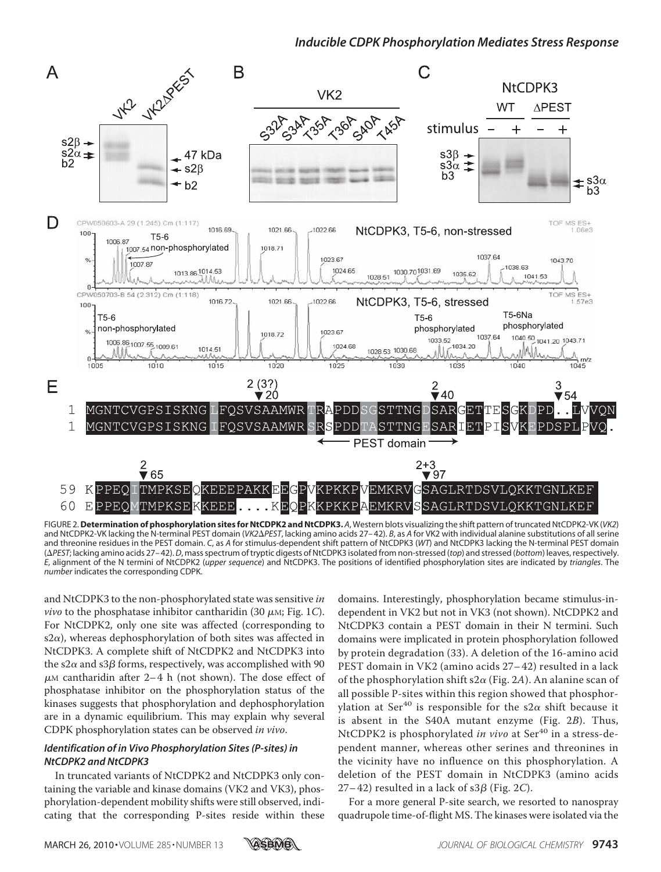

FIGURE 2.**Determination of phosphorylation sites for NtCDPK2 and NtCDPK3.** *A*, Western blots visualizing the shift pattern of truncated NtCDPK2-VK (*VK2*) and NtCDPK2-VK lacking the N-terminal PEST domain (VK2 $\Delta$ PEST, lacking amino acids 27-42). *B*, as *A* for VK2 with individual alanine substitutions of all serine and threonine residues in the PEST domain. *C*, as *A* for stimulus-dependent shift pattern of NtCDPK3 (*WT*) and NtCDPK3 lacking the N-terminal PEST domain (*PEST*; lacking amino acids 27– 42).*D*, mass spectrum of tryptic digests of NtCDPK3 isolated from non-stressed (*top*) and stressed (*bottom*) leaves, respectively. *E*, alignment of the N termini of NtCDPK2 (*upper sequence*) and NtCDPK3. The positions of identified phosphorylation sites are indicated by *triangles*. The *number* indicates the corresponding CDPK.

and NtCDPK3 to the non-phosphorylated state was sensitive in *vivo* to the phosphatase inhibitor cantharidin (30  $\mu$ M; Fig. 1*C*). For NtCDPK2, only one site was affected (corresponding to s2 $\alpha$ ), whereas dephosphorylation of both sites was affected in NtCDPK3. A complete shift of NtCDPK2 and NtCDPK3 into the s2 $\alpha$  and s3 $\beta$  forms, respectively, was accomplished with 90  $\mu$ M cantharidin after 2–4 h (not shown). The dose effect of phosphatase inhibitor on the phosphorylation status of the kinases suggests that phosphorylation and dephosphorylation are in a dynamic equilibrium. This may explain why several CDPK phosphorylation states can be observed in vivo.

### *Identification of in Vivo Phosphorylation Sites (P-sites) in NtCDPK2 and NtCDPK3*

In truncated variants of NtCDPK2 and NtCDPK3 only containing the variable and kinase domains (VK2 and VK3), phosphorylation-dependent mobility shifts were still observed, indicating that the corresponding P-sites reside within these domains. Interestingly, phosphorylation became stimulus-independent in VK2 but not in VK3 (not shown). NtCDPK2 and NtCDPK3 contain a PEST domain in their N termini. Such domains were implicated in protein phosphorylation followed by protein degradation (33). A deletion of the 16-amino acid PEST domain in VK2 (amino acids 27– 42) resulted in a lack of the phosphorylation shift s2 $\alpha$  (Fig. 2A). An alanine scan of all possible P-sites within this region showed that phosphorylation at Ser<sup>40</sup> is responsible for the s2 $\alpha$  shift because it is absent in the S40A mutant enzyme (Fig. 2B). Thus, NtCDPK2 is phosphorylated in vivo at  $Ser<sup>40</sup>$  in a stress-dependent manner, whereas other serines and threonines in the vicinity have no influence on this phosphorylation. A deletion of the PEST domain in NtCDPK3 (amino acids 27–42) resulted in a lack of s3 $\beta$  (Fig. 2C).

For a more general P-site search, we resorted to nanospray quadrupole time-of-flight MS. The kinases were isolated via the

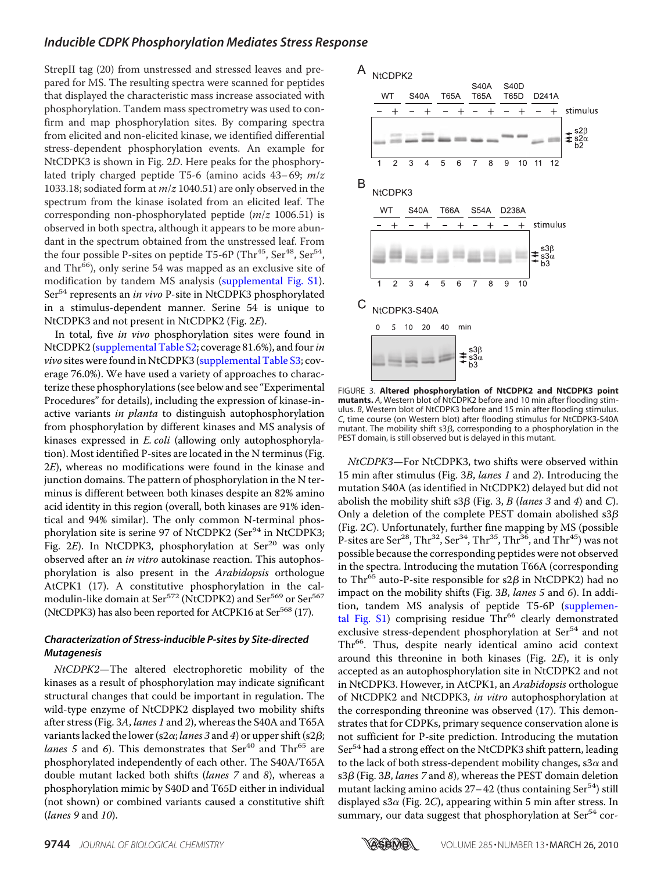StrepII tag (20) from unstressed and stressed leaves and prepared for MS. The resulting spectra were scanned for peptides that displayed the characteristic mass increase associated with phosphorylation. Tandem mass spectrometry was used to confirm and map phosphorylation sites. By comparing spectra from elicited and non-elicited kinase, we identified differential stress-dependent phosphorylation events. An example for NtCDPK3 is shown in Fig. 2D. Here peaks for the phosphorylated triply charged peptide T5-6 (amino acids  $43-69$ ;  $m/z$ 1033.18; sodiated form at  $m/z$  1040.51) are only observed in the spectrum from the kinase isolated from an elicited leaf. The corresponding non-phosphorylated peptide  $(m/z 1006.51)$  is observed in both spectra, although it appears to be more abundant in the spectrum obtained from the unstressed leaf. From the four possible P-sites on peptide T5-6P (Thr<sup>45</sup>, Ser<sup>48</sup>, Ser<sup>54</sup>, and Thr<sup>66</sup>), only serine 54 was mapped as an exclusive site of modification by tandem MS analysis (supplemental Fig. S1). Ser<sup>54</sup> represents an *in vivo* P-site in NtCDPK3 phosphorylated in a stimulus-dependent manner. Serine 54 is unique to NtCDPK3 and not present in NtCDPK2 (Fig. 2E).

In total, five in vivo phosphorylation sites were found in NtCDPK2 (supplemental Table S2; coverage 81.6%), and four in *vivo* sites were found in NtCDPK3 (supplemental Table S3; coverage 76.0%). We have used a variety of approaches to characterize these phosphorylations (see below and see "Experimental Procedures" for details), including the expression of kinase-inactive variants in planta to distinguish autophosphorylation from phosphorylation by different kinases and MS analysis of kinases expressed in *E. coli* (allowing only autophosphorylation). Most identified P-sites are located in the N terminus (Fig. 2E), whereas no modifications were found in the kinase and junction domains. The pattern of phosphorylation in the N terminus is different between both kinases despite an 82% amino acid identity in this region (overall, both kinases are 91% identical and 94% similar). The only common N-terminal phosphorylation site is serine 97 of NtCDPK2 (Ser<sup>94</sup> in NtCDPK3; Fig. 2E). In NtCDPK3, phosphorylation at Ser<sup>20</sup> was only observed after an in vitro autokinase reaction. This autophosphorylation is also present in the Arabidopsis orthologue AtCPK1 (17). A constitutive phosphorylation in the calmodulin-like domain at Ser<sup>572</sup> (NtCDPK2) and Ser<sup>569</sup> or Ser<sup>567</sup> (NtCDPK3) has also been reported for AtCPK16 at Ser<sup>568</sup> (17).

#### *Characterization of Stress-inducible P-sites by Site-directed Mutagenesis*

NtCDPK2—The altered electrophoretic mobility of the kinases as a result of phosphorylation may indicate significant structural changes that could be important in regulation. The wild-type enzyme of NtCDPK2 displayed two mobility shifts after stress (Fig. 3A, lanes 1 and 2), whereas the S40A and T65A variants lacked the lower (s2 $\alpha$ ; *lanes 3* and *4*) or upper shift (s2 $\beta$ ; lanes 5 and 6). This demonstrates that  $Ser^{40}$  and  $Thr^{65}$  are phosphorylated independently of each other. The S40A/T65A double mutant lacked both shifts (lanes 7 and 8), whereas a phosphorylation mimic by S40D and T65D either in individual (not shown) or combined variants caused a constitutive shift (lanes 9 and 10).



FIGURE 3. **Altered phosphorylation of NtCDPK2 and NtCDPK3 point mutants.** *A*, Western blot of NtCDPK2 before and 10 min after flooding stimulus. *B*, Western blot of NtCDPK3 before and 15 min after flooding stimulus. *C*, time course (on Western blot) after flooding stimulus for NtCDPK3-S40A mutant. The mobility shift  $s3\beta$ , corresponding to a phosphorylation in the PEST domain, is still observed but is delayed in this mutant.

NtCDPK3—For NtCDPK3, two shifts were observed within 15 min after stimulus (Fig. 3B, lanes 1 and 2). Introducing the mutation S40A (as identified in NtCDPK2) delayed but did not abolish the mobility shift s3 $\beta$  (Fig. 3, B (lanes 3 and 4) and C). Only a deletion of the complete PEST domain abolished  $s3\beta$ (Fig. 2C). Unfortunately, further fine mapping by MS (possible P-sites are Ser<sup>28</sup>, Thr<sup>32</sup>, Ser<sup>34</sup>, Thr<sup>35</sup>, Thr<sup>36</sup>, and Thr<sup>45</sup>) was not possible because the corresponding peptides were not observed in the spectra. Introducing the mutation T66A (corresponding to Thr<sup>65</sup> auto-P-site responsible for s2 $\beta$  in NtCDPK2) had no impact on the mobility shifts (Fig. 3B, lanes 5 and 6). In addition, tandem MS analysis of peptide T5-6P (supplemental Fig.  $S1$ ) comprising residue Thr<sup>66</sup> clearly demonstrated exclusive stress-dependent phosphorylation at Ser<sup>54</sup> and not Thr<sup>66</sup>. Thus, despite nearly identical amino acid context around this threonine in both kinases (Fig. 2E), it is only accepted as an autophosphorylation site in NtCDPK2 and not in NtCDPK3. However, in AtCPK1, an Arabidopsis orthologue of NtCDPK2 and NtCDPK3, in vitro autophosphorylation at the corresponding threonine was observed (17). This demonstrates that for CDPKs, primary sequence conservation alone is not sufficient for P-site prediction. Introducing the mutation Ser<sup>54</sup> had a strong effect on the NtCDPK3 shift pattern, leading to the lack of both stress-dependent mobility changes, s3 $\alpha$  and s3β (Fig. 3*B, lanes 7* and 8), whereas the PEST domain deletion mutant lacking amino acids  $27-42$  (thus containing Ser<sup>54</sup>) still displayed s3 $\alpha$  (Fig. 2C), appearing within 5 min after stress. In summary, our data suggest that phosphorylation at Ser<sup>54</sup> cor-

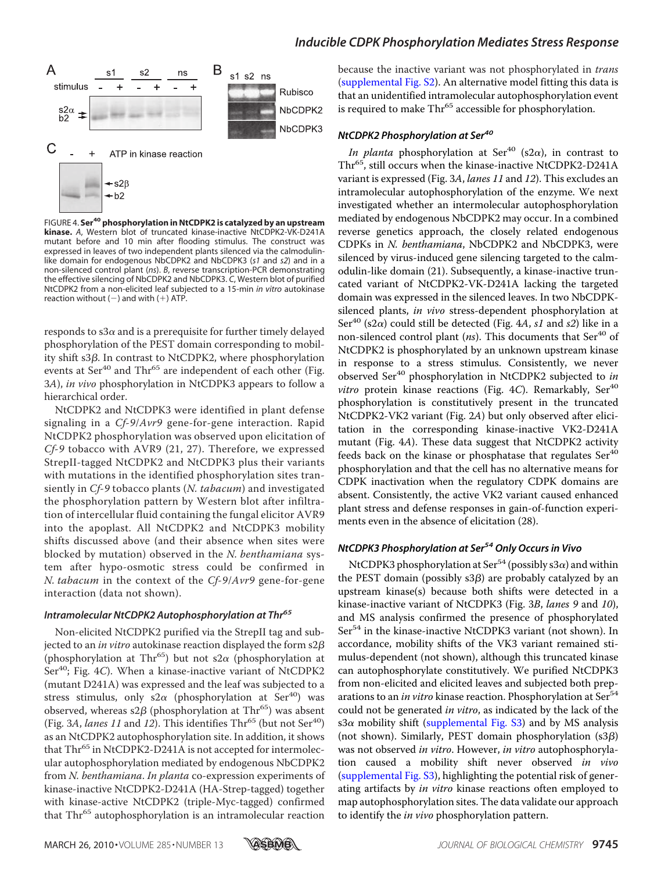

FIGURE 4. **Ser40phosphorylation in NtCDPK2 is catalyzed by an upstream kinase.** *A*, Western blot of truncated kinase-inactive NtCDPK2-VK-D241A mutant before and 10 min after flooding stimulus. The construct was expressed in leaves of two independent plants silenced via the calmodulinlike domain for endogenous NbCDPK2 and NbCDPK3 (*s1* and *s2*) and in a non-silenced control plant (*ns*). *B*, reverse transcription-PCR demonstrating the effective silencing of NbCDPK2 and NbCDPK3. *C*, Western blot of purified NtCDPK2 from a non-elicited leaf subjected to a 15-min *in vitro* autokinase reaction without  $(-)$  and with  $(+)$  ATP.

responds to s3 $\alpha$  and is a prerequisite for further timely delayed phosphorylation of the PEST domain corresponding to mobility shift s3ß. In contrast to NtCDPK2, where phosphorylation events at  $Ser^{40}$  and  $Thr^{65}$  are independent of each other (Fig. 3A), in vivo phosphorylation in NtCDPK3 appears to follow a hierarchical order.

NtCDPK2 and NtCDPK3 were identified in plant defense signaling in a Cf-9/Avr9 gene-for-gene interaction. Rapid NtCDPK2 phosphorylation was observed upon elicitation of Cf-9 tobacco with AVR9 (21, 27). Therefore, we expressed StrepII-tagged NtCDPK2 and NtCDPK3 plus their variants with mutations in the identified phosphorylation sites transiently in Cf-9 tobacco plants (N. tabacum) and investigated the phosphorylation pattern by Western blot after infiltration of intercellular fluid containing the fungal elicitor AVR9 into the apoplast. All NtCDPK2 and NtCDPK3 mobility shifts discussed above (and their absence when sites were blocked by mutation) observed in the N. benthamiana system after hypo-osmotic stress could be confirmed in N. tabacum in the context of the Cf-9/Avr9 gene-for-gene interaction (data not shown).

#### *Intramolecular NtCDPK2 Autophosphorylation at Thr<sup>65</sup>*

Non-elicited NtCDPK2 purified via the StrepII tag and subjected to an in vitro autokinase reaction displayed the form s2 $\beta$ (phosphorylation at Thr<sup>65</sup>) but not s2 $\alpha$  (phosphorylation at Ser $40$ ; Fig. 4C). When a kinase-inactive variant of NtCDPK2 (mutant D241A) was expressed and the leaf was subjected to a stress stimulus, only  $s2\alpha$  (phosphorylation at Ser<sup>40</sup>) was observed, whereas  $s2\beta$  (phosphorylation at Thr<sup>65</sup>) was absent (Fig. 3A, lanes 11 and 12). This identifies  $\text{Thr}^{65}$  (but not  $\text{Ser}^{40}$ ) as an NtCDPK2 autophosphorylation site. In addition, it shows that Thr<sup>65</sup> in NtCDPK2-D241A is not accepted for intermolecular autophosphorylation mediated by endogenous NbCDPK2 from N. benthamiana. In planta co-expression experiments of kinase-inactive NtCDPK2-D241A (HA-Strep-tagged) together with kinase-active NtCDPK2 (triple-Myc-tagged) confirmed that Thr<sup>65</sup> autophosphorylation is an intramolecular reaction

because the inactive variant was not phosphorylated in *trans* (supplemental Fig. S2). An alternative model fitting this data is that an unidentified intramolecular autophosphorylation event is required to make Thr<sup>65</sup> accessible for phosphorylation.

#### *NtCDPK2 Phosphorylation at Ser<sup>40</sup>*

In planta phosphorylation at Ser<sup>40</sup> (s2 $\alpha$ ), in contrast to Thr<sup>65</sup>, still occurs when the kinase-inactive NtCDPK2-D241A variant is expressed (Fig. 3A, lanes 11 and 12). This excludes an intramolecular autophosphorylation of the enzyme. We next investigated whether an intermolecular autophosphorylation mediated by endogenous NbCDPK2 may occur. In a combined reverse genetics approach, the closely related endogenous CDPKs in N. benthamiana, NbCDPK2 and NbCDPK3, were silenced by virus-induced gene silencing targeted to the calmodulin-like domain (21). Subsequently, a kinase-inactive truncated variant of NtCDPK2-VK-D241A lacking the targeted domain was expressed in the silenced leaves. In two NbCDPKsilenced plants, in vivo stress-dependent phosphorylation at Ser<sup>40</sup> (s2 $\alpha$ ) could still be detected (Fig. 4A, s1 and s2) like in a non-silenced control plant (*ns*). This documents that  $Ser<sup>40</sup>$  of NtCDPK2 is phosphorylated by an unknown upstream kinase in response to a stress stimulus. Consistently, we never observed Ser<sup>40</sup> phosphorylation in NtCDPK2 subjected to in *vitro* protein kinase reactions (Fig. 4C). Remarkably,  $Ser<sup>40</sup>$ phosphorylation is constitutively present in the truncated NtCDPK2-VK2 variant (Fig. 2A) but only observed after elicitation in the corresponding kinase-inactive VK2-D241A mutant (Fig. 4A). These data suggest that NtCDPK2 activity feeds back on the kinase or phosphatase that regulates  $\text{Ser}^{40}$ phosphorylation and that the cell has no alternative means for CDPK inactivation when the regulatory CDPK domains are absent. Consistently, the active VK2 variant caused enhanced plant stress and defense responses in gain-of-function experiments even in the absence of elicitation (28).

## *NtCDPK3 Phosphorylation at Ser54Only Occurs in Vivo*

NtCDPK3 phosphorylation at Ser<sup>54</sup> (possibly s3 $\alpha$ ) and within the PEST domain (possibly s3 $\beta$ ) are probably catalyzed by an upstream kinase(s) because both shifts were detected in a kinase-inactive variant of NtCDPK3 (Fig. 3B, lanes 9 and 10), and MS analysis confirmed the presence of phosphorylated Ser<sup>54</sup> in the kinase-inactive NtCDPK3 variant (not shown). In accordance, mobility shifts of the VK3 variant remained stimulus-dependent (not shown), although this truncated kinase can autophosphorylate constitutively. We purified NtCDPK3 from non-elicited and elicited leaves and subjected both preparations to an *in vitro* kinase reaction. Phosphorylation at Ser<sup>54</sup> could not be generated in vitro, as indicated by the lack of the s3 $\alpha$  mobility shift (supplemental Fig. S3) and by MS analysis (not shown). Similarly, PEST domain phosphorylation  $(s3\beta)$ was not observed in vitro. However, in vitro autophosphorylation caused a mobility shift never observed in vivo (supplemental Fig. S3), highlighting the potential risk of generating artifacts by in vitro kinase reactions often employed to map autophosphorylation sites. The data validate our approach to identify the *in vivo* phosphorylation pattern.

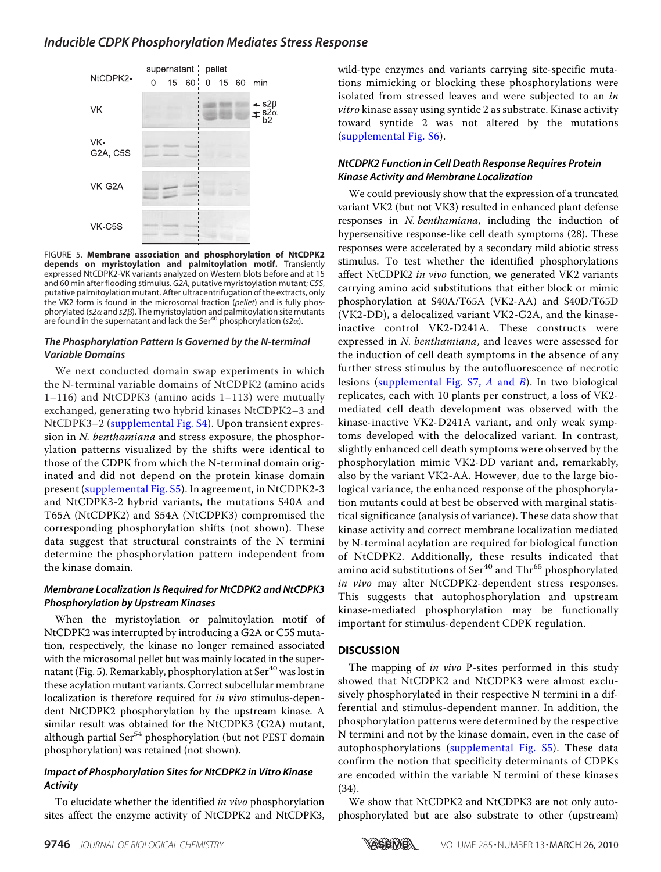

FIGURE 5. **Membrane association and phosphorylation of NtCDPK2 depends on myristoylation and palmitoylation motif.** Transiently expressed NtCDPK2-VK variants analyzed on Western blots before and at 15 and 60 min after flooding stimulus. *G2A*, putative myristoylation mutant; *C5S*, putative palmitoylation mutant. After ultracentrifugation of the extracts, only the VK2 form is found in the microsomal fraction (*pellet*) and is fully phosphorylated (s2 $\alpha$  and s2 $\beta$ ). The myristoylation and palmitoylation site mutants are found in the supernatant and lack the Ser<sup>40</sup> phosphorylation ( $s2\alpha$ ).

## *The Phosphorylation Pattern Is Governed by the N-terminal Variable Domains*

We next conducted domain swap experiments in which the N-terminal variable domains of NtCDPK2 (amino acids 1–116) and NtCDPK3 (amino acids 1–113) were mutually exchanged, generating two hybrid kinases NtCDPK2–3 and NtCDPK3–2 (supplemental Fig. S4). Upon transient expression in N. benthamiana and stress exposure, the phosphorylation patterns visualized by the shifts were identical to those of the CDPK from which the N-terminal domain originated and did not depend on the protein kinase domain present (supplemental Fig. S5). In agreement, in NtCDPK2-3 and NtCDPK3-2 hybrid variants, the mutations S40A and T65A (NtCDPK2) and S54A (NtCDPK3) compromised the corresponding phosphorylation shifts (not shown). These data suggest that structural constraints of the N termini determine the phosphorylation pattern independent from the kinase domain.

## *Membrane Localization Is Required for NtCDPK2 and NtCDPK3 Phosphorylation by Upstream Kinases*

When the myristoylation or palmitoylation motif of NtCDPK2 was interrupted by introducing a G2A or C5S mutation, respectively, the kinase no longer remained associated with the microsomal pellet but was mainly located in the supernatant (Fig. 5). Remarkably, phosphorylation at  $\text{Ser}^{40}$  was lost in these acylation mutant variants. Correct subcellular membrane localization is therefore required for in vivo stimulus-dependent NtCDPK2 phosphorylation by the upstream kinase. A similar result was obtained for the NtCDPK3 (G2A) mutant, although partial Ser<sup>54</sup> phosphorylation (but not PEST domain phosphorylation) was retained (not shown).

## *Impact of Phosphorylation Sites for NtCDPK2 in Vitro Kinase Activity*

To elucidate whether the identified in vivo phosphorylation sites affect the enzyme activity of NtCDPK2 and NtCDPK3, wild-type enzymes and variants carrying site-specific mutations mimicking or blocking these phosphorylations were isolated from stressed leaves and were subjected to an in vitro kinase assay using syntide 2 as substrate. Kinase activity toward syntide 2 was not altered by the mutations (supplemental Fig. S6).

## *NtCDPK2 Function in Cell Death Response Requires Protein Kinase Activity and Membrane Localization*

We could previously show that the expression of a truncated variant VK2 (but not VK3) resulted in enhanced plant defense responses in N. benthamiana, including the induction of hypersensitive response-like cell death symptoms (28). These responses were accelerated by a secondary mild abiotic stress stimulus. To test whether the identified phosphorylations affect NtCDPK2 in vivo function, we generated VK2 variants carrying amino acid substitutions that either block or mimic phosphorylation at S40A/T65A (VK2-AA) and S40D/T65D (VK2-DD), a delocalized variant VK2-G2A, and the kinaseinactive control VK2-D241A. These constructs were expressed in N. benthamiana, and leaves were assessed for the induction of cell death symptoms in the absence of any further stress stimulus by the autofluorescence of necrotic lesions (supplemental Fig. S7, A and B). In two biological replicates, each with 10 plants per construct, a loss of VK2 mediated cell death development was observed with the kinase-inactive VK2-D241A variant, and only weak symptoms developed with the delocalized variant. In contrast, slightly enhanced cell death symptoms were observed by the phosphorylation mimic VK2-DD variant and, remarkably, also by the variant VK2-AA. However, due to the large biological variance, the enhanced response of the phosphorylation mutants could at best be observed with marginal statistical significance (analysis of variance). These data show that kinase activity and correct membrane localization mediated by N-terminal acylation are required for biological function of NtCDPK2. Additionally, these results indicated that amino acid substitutions of Ser<sup>40</sup> and Thr<sup>65</sup> phosphorylated in vivo may alter NtCDPK2-dependent stress responses. This suggests that autophosphorylation and upstream kinase-mediated phosphorylation may be functionally important for stimulus-dependent CDPK regulation.

## **DISCUSSION**

The mapping of *in vivo* P-sites performed in this study showed that NtCDPK2 and NtCDPK3 were almost exclusively phosphorylated in their respective N termini in a differential and stimulus-dependent manner. In addition, the phosphorylation patterns were determined by the respective N termini and not by the kinase domain, even in the case of autophosphorylations (supplemental Fig. S5). These data confirm the notion that specificity determinants of CDPKs are encoded within the variable N termini of these kinases (34).

We show that NtCDPK2 and NtCDPK3 are not only autophosphorylated but are also substrate to other (upstream)

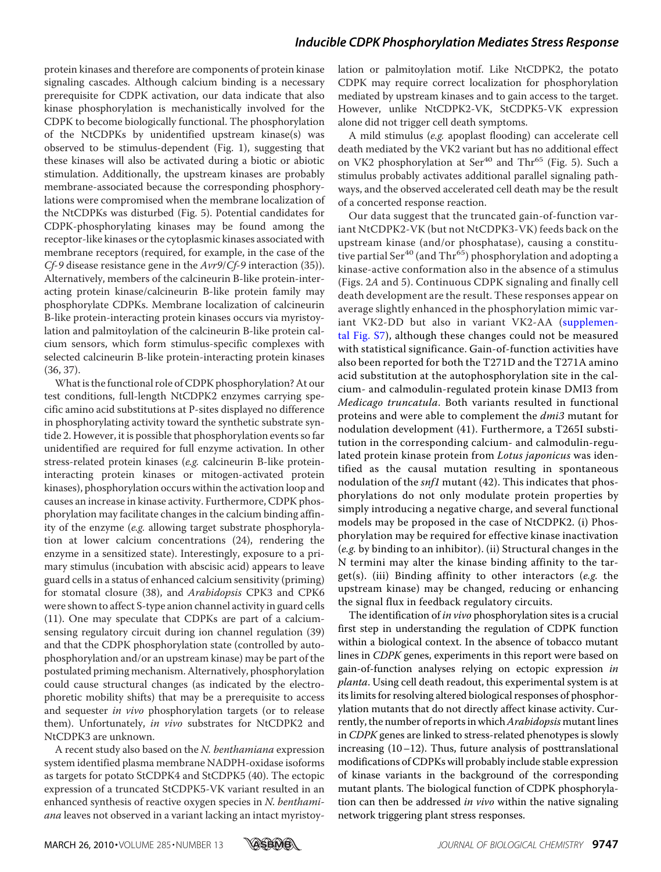protein kinases and therefore are components of protein kinase signaling cascades. Although calcium binding is a necessary prerequisite for CDPK activation, our data indicate that also kinase phosphorylation is mechanistically involved for the CDPK to become biologically functional. The phosphorylation of the NtCDPKs by unidentified upstream kinase(s) was observed to be stimulus-dependent (Fig. 1), suggesting that these kinases will also be activated during a biotic or abiotic stimulation. Additionally, the upstream kinases are probably membrane-associated because the corresponding phosphorylations were compromised when the membrane localization of the NtCDPKs was disturbed (Fig. 5). Potential candidates for CDPK-phosphorylating kinases may be found among the receptor-like kinases or the cytoplasmic kinases associated with membrane receptors (required, for example, in the case of the  $C_f$ -9 disease resistance gene in the  $Avr9/C_f$ -9 interaction (35)). Alternatively, members of the calcineurin B-like protein-interacting protein kinase/calcineurin B-like protein family may phosphorylate CDPKs. Membrane localization of calcineurin B-like protein-interacting protein kinases occurs via myristoylation and palmitoylation of the calcineurin B-like protein calcium sensors, which form stimulus-specific complexes with selected calcineurin B-like protein-interacting protein kinases (36, 37).

What is the functional role of CDPK phosphorylation? At our test conditions, full-length NtCDPK2 enzymes carrying specific amino acid substitutions at P-sites displayed no difference in phosphorylating activity toward the synthetic substrate syntide 2. However, it is possible that phosphorylation events so far unidentified are required for full enzyme activation. In other stress-related protein kinases (e.g. calcineurin B-like proteininteracting protein kinases or mitogen-activated protein kinases), phosphorylation occurs within the activation loop and causes an increase in kinase activity. Furthermore, CDPK phosphorylation may facilitate changes in the calcium binding affinity of the enzyme (e.g. allowing target substrate phosphorylation at lower calcium concentrations (24), rendering the enzyme in a sensitized state). Interestingly, exposure to a primary stimulus (incubation with abscisic acid) appears to leave guard cells in a status of enhanced calcium sensitivity (priming) for stomatal closure (38), and Arabidopsis CPK3 and CPK6 were shown to affect S-type anion channel activity in guard cells (11). One may speculate that CDPKs are part of a calciumsensing regulatory circuit during ion channel regulation (39) and that the CDPK phosphorylation state (controlled by autophosphorylation and/or an upstream kinase) may be part of the postulated priming mechanism. Alternatively, phosphorylation could cause structural changes (as indicated by the electrophoretic mobility shifts) that may be a prerequisite to access and sequester in vivo phosphorylation targets (or to release them). Unfortunately, in vivo substrates for NtCDPK2 and NtCDPK3 are unknown.

A recent study also based on the N. benthamiana expression system identified plasma membrane NADPH-oxidase isoforms as targets for potato StCDPK4 and StCDPK5 (40). The ectopic expression of a truncated StCDPK5-VK variant resulted in an enhanced synthesis of reactive oxygen species in N. benthamiana leaves not observed in a variant lacking an intact myristoylation or palmitoylation motif. Like NtCDPK2, the potato CDPK may require correct localization for phosphorylation mediated by upstream kinases and to gain access to the target. However, unlike NtCDPK2-VK, StCDPK5-VK expression alone did not trigger cell death symptoms.

A mild stimulus (e.g. apoplast flooding) can accelerate cell death mediated by the VK2 variant but has no additional effect on VK2 phosphorylation at  $Ser^{40}$  and Thr<sup>65</sup> (Fig. 5). Such a stimulus probably activates additional parallel signaling pathways, and the observed accelerated cell death may be the result of a concerted response reaction.

Our data suggest that the truncated gain-of-function variant NtCDPK2-VK (but not NtCDPK3-VK) feeds back on the upstream kinase (and/or phosphatase), causing a constitutive partial Ser<sup>40</sup> (and Thr<sup>65</sup>) phosphorylation and adopting a kinase-active conformation also in the absence of a stimulus (Figs. 2A and 5). Continuous CDPK signaling and finally cell death development are the result. These responses appear on average slightly enhanced in the phosphorylation mimic variant VK2-DD but also in variant VK2-AA (supplemental Fig. S7), although these changes could not be measured with statistical significance. Gain-of-function activities have also been reported for both the T271D and the T271A amino acid substitution at the autophosphorylation site in the calcium- and calmodulin-regulated protein kinase DMI3 from Medicago truncatula. Both variants resulted in functional proteins and were able to complement the  $dmi3$  mutant for nodulation development (41). Furthermore, a T265I substitution in the corresponding calcium- and calmodulin-regulated protein kinase protein from Lotus japonicus was identified as the causal mutation resulting in spontaneous nodulation of the *snf1* mutant (42). This indicates that phosphorylations do not only modulate protein properties by simply introducing a negative charge, and several functional models may be proposed in the case of NtCDPK2. (i) Phosphorylation may be required for effective kinase inactivation (e.g. by binding to an inhibitor). (ii) Structural changes in the N termini may alter the kinase binding affinity to the target(s). (iii) Binding affinity to other interactors (e.g. the upstream kinase) may be changed, reducing or enhancing the signal flux in feedback regulatory circuits.

The identification of in vivo phosphorylation sites is a crucial first step in understanding the regulation of CDPK function within a biological context. In the absence of tobacco mutant lines in CDPK genes, experiments in this report were based on gain-of-function analyses relying on ectopic expression in planta. Using cell death readout, this experimental system is at its limits for resolving altered biological responses of phosphorylation mutants that do not directly affect kinase activity. Currently, the number of reports in which Arabidopsis mutant lines in CDPK genes are linked to stress-related phenotypes is slowly increasing (10–12). Thus, future analysis of posttranslational modifications of CDPKs will probably include stable expression of kinase variants in the background of the corresponding mutant plants. The biological function of CDPK phosphorylation can then be addressed *in vivo* within the native signaling network triggering plant stress responses.